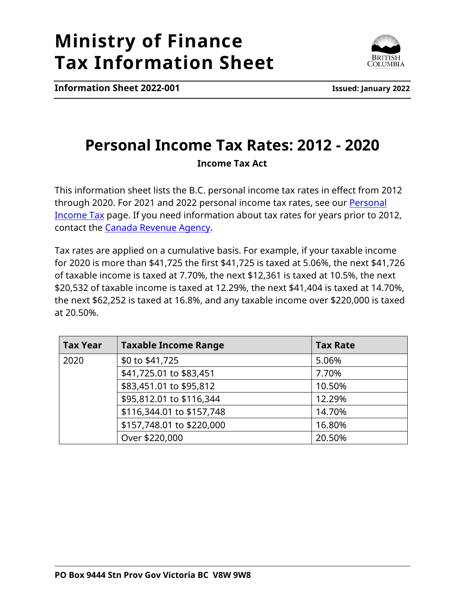## **Ministry of Finance Tax Information Sheet**



**Information Sheet 2022-001 Issued: January 2022**

## **Personal Income Tax Rates: 2012 - 2020 Income Tax Act**

This information sheet lists the B.C. personal income tax rates in effect from 2012 through 2020. For 2021 and 2022 personal income tax rates, see our Personal [Income Tax](https://www2.gov.bc.ca/gov/content?id=E90F9F1717DB451BB7E4A6CC0BDC6F9F) page. If you need information about tax rates for years prior to 2012, contact the [Canada Revenue Agency.](https://www.canada.ca/en/revenue-agency/corporate/contact-information.html)

Tax rates are applied on a cumulative basis. For example, if your taxable income for 2020 is more than \$41,725 the first \$41,725 is taxed at 5.06%, the next \$41,726 of taxable income is taxed at 7.70%, the next \$12,361 is taxed at 10.5%, the next \$20,532 of taxable income is taxed at 12.29%, the next \$41,404 is taxed at 14.70%, the next \$62,252 is taxed at 16.8%, and any taxable income over \$220,000 is taxed at 20.50%.

| <b>Tax Year</b> | <b>Taxable Income Range</b> | <b>Tax Rate</b> |
|-----------------|-----------------------------|-----------------|
| 2020            | \$0 to \$41,725             | 5.06%           |
|                 | \$41,725.01 to \$83,451     | 7.70%           |
|                 | \$83,451.01 to \$95,812     | 10.50%          |
|                 | \$95,812.01 to \$116,344    | 12.29%          |
|                 | \$116,344.01 to \$157,748   | 14.70%          |
|                 | \$157,748.01 to \$220,000   | 16.80%          |
|                 | Over \$220,000              | 20.50%          |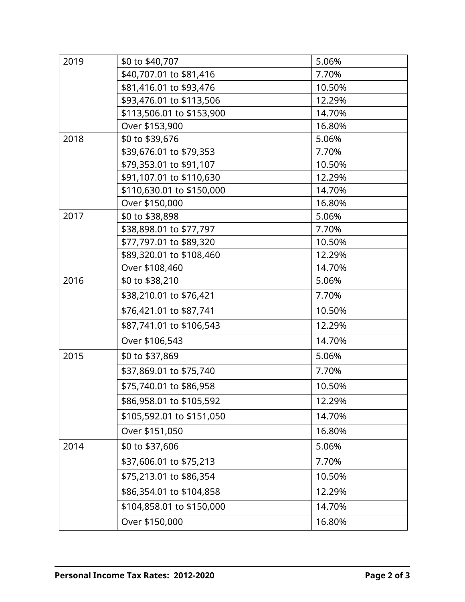| 2019 | \$0 to \$40,707           | 5.06%  |
|------|---------------------------|--------|
|      | \$40,707.01 to \$81,416   | 7.70%  |
|      | \$81,416.01 to \$93,476   | 10.50% |
|      | \$93,476.01 to \$113,506  | 12.29% |
|      | \$113,506.01 to \$153,900 | 14.70% |
|      | Over \$153,900            | 16.80% |
| 2018 | \$0 to \$39,676           | 5.06%  |
|      | \$39,676.01 to \$79,353   | 7.70%  |
|      | \$79,353.01 to \$91,107   | 10.50% |
|      | \$91,107.01 to \$110,630  | 12.29% |
|      | \$110,630.01 to \$150,000 | 14.70% |
|      | Over \$150,000            | 16.80% |
| 2017 | \$0 to \$38,898           | 5.06%  |
|      | \$38,898.01 to \$77,797   | 7.70%  |
|      | \$77,797.01 to \$89,320   | 10.50% |
|      | \$89,320.01 to \$108,460  | 12.29% |
|      | Over \$108,460            | 14.70% |
| 2016 | \$0 to \$38,210           | 5.06%  |
|      | \$38,210.01 to \$76,421   | 7.70%  |
|      | \$76,421.01 to \$87,741   | 10.50% |
|      | \$87,741.01 to \$106,543  | 12.29% |
|      | Over \$106,543            | 14.70% |
| 2015 | \$0 to \$37,869           | 5.06%  |
|      | \$37,869.01 to \$75,740   | 7.70%  |
|      | \$75,740.01 to \$86,958   | 10.50% |
|      | \$86,958.01 to \$105,592  | 12.29% |
|      | \$105,592.01 to \$151,050 | 14.70% |
|      | Over \$151,050            | 16.80% |
| 2014 | \$0 to \$37,606           | 5.06%  |
|      | \$37,606.01 to \$75,213   | 7.70%  |
|      | \$75,213.01 to \$86,354   | 10.50% |
|      | \$86,354.01 to \$104,858  | 12.29% |
|      | \$104,858.01 to \$150,000 | 14.70% |
|      | Over \$150,000            | 16.80% |